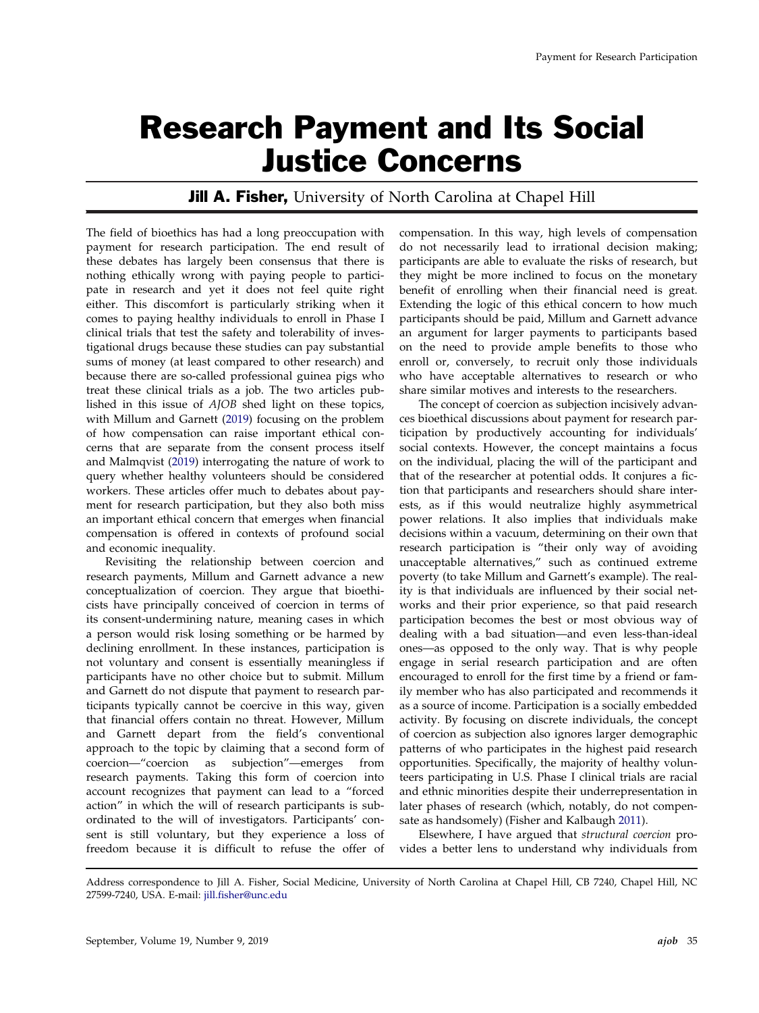## <span id="page-0-0"></span>Research Payment and Its Social Justice Concerns

**Jill A. Fisher,** University of North Carolina at Chapel Hill

The field of bioethics has had a long preoccupation with payment for research participation. The end result of these debates has largely been consensus that there is nothing ethically wrong with paying people to participate in research and yet it does not feel quite right either. This discomfort is particularly striking when it comes to paying healthy individuals to enroll in Phase I clinical trials that test the safety and tolerability of investigational drugs because these studies can pay substantial sums of money (at least compared to other research) and because there are so-called professional guinea pigs who treat these clinical trials as a job. The two articles published in this issue of AJOB shed light on these topics, with Millum and Garnett ([2019\)](#page-1-0) focusing on the problem of how compensation can raise important ethical concerns that are separate from the consent process itself and Malmqvist ([2019\)](#page-1-0) interrogating the nature of work to query whether healthy volunteers should be considered workers. These articles offer much to debates about payment for research participation, but they also both miss an important ethical concern that emerges when financial compensation is offered in contexts of profound social and economic inequality.

Revisiting the relationship between coercion and research payments, Millum and Garnett advance a new conceptualization of coercion. They argue that bioethicists have principally conceived of coercion in terms of its consent-undermining nature, meaning cases in which a person would risk losing something or be harmed by declining enrollment. In these instances, participation is not voluntary and consent is essentially meaningless if participants have no other choice but to submit. Millum and Garnett do not dispute that payment to research participants typically cannot be coercive in this way, given that financial offers contain no threat. However, Millum and Garnett depart from the field's conventional approach to the topic by claiming that a second form of coercion—"coercion as subjection"—emerges from research payments. Taking this form of coercion into account recognizes that payment can lead to a "forced action" in which the will of research participants is subordinated to the will of investigators. Participants' consent is still voluntary, but they experience a loss of freedom because it is difficult to refuse the offer of compensation. In this way, high levels of compensation do not necessarily lead to irrational decision making; participants are able to evaluate the risks of research, but they might be more inclined to focus on the monetary benefit of enrolling when their financial need is great. Extending the logic of this ethical concern to how much participants should be paid, Millum and Garnett advance an argument for larger payments to participants based on the need to provide ample benefits to those who enroll or, conversely, to recruit only those individuals who have acceptable alternatives to research or who share similar motives and interests to the researchers.

The concept of coercion as subjection incisively advances bioethical discussions about payment for research participation by productively accounting for individuals' social contexts. However, the concept maintains a focus on the individual, placing the will of the participant and that of the researcher at potential odds. It conjures a fiction that participants and researchers should share interests, as if this would neutralize highly asymmetrical power relations. It also implies that individuals make decisions within a vacuum, determining on their own that research participation is "their only way of avoiding unacceptable alternatives," such as continued extreme poverty (to take Millum and Garnett's example). The reality is that individuals are influenced by their social networks and their prior experience, so that paid research participation becomes the best or most obvious way of dealing with a bad situation—and even less-than-ideal ones—as opposed to the only way. That is why people engage in serial research participation and are often encouraged to enroll for the first time by a friend or family member who has also participated and recommends it as a source of income. Participation is a socially embedded activity. By focusing on discrete individuals, the concept of coercion as subjection also ignores larger demographic patterns of who participates in the highest paid research opportunities. Specifically, the majority of healthy volunteers participating in U.S. Phase I clinical trials are racial and ethnic minorities despite their underrepresentation in later phases of research (which, notably, do not compensate as handsomely) (Fisher and Kalbaugh [2011](#page-1-0)).

Elsewhere, I have argued that structural coercion provides a better lens to understand why individuals from

Address correspondence to Jill A. Fisher, Social Medicine, University of North Carolina at Chapel Hill, CB 7240, Chapel Hill, NC 27599-7240, USA. E-mail: jill.fisher@unc.edu